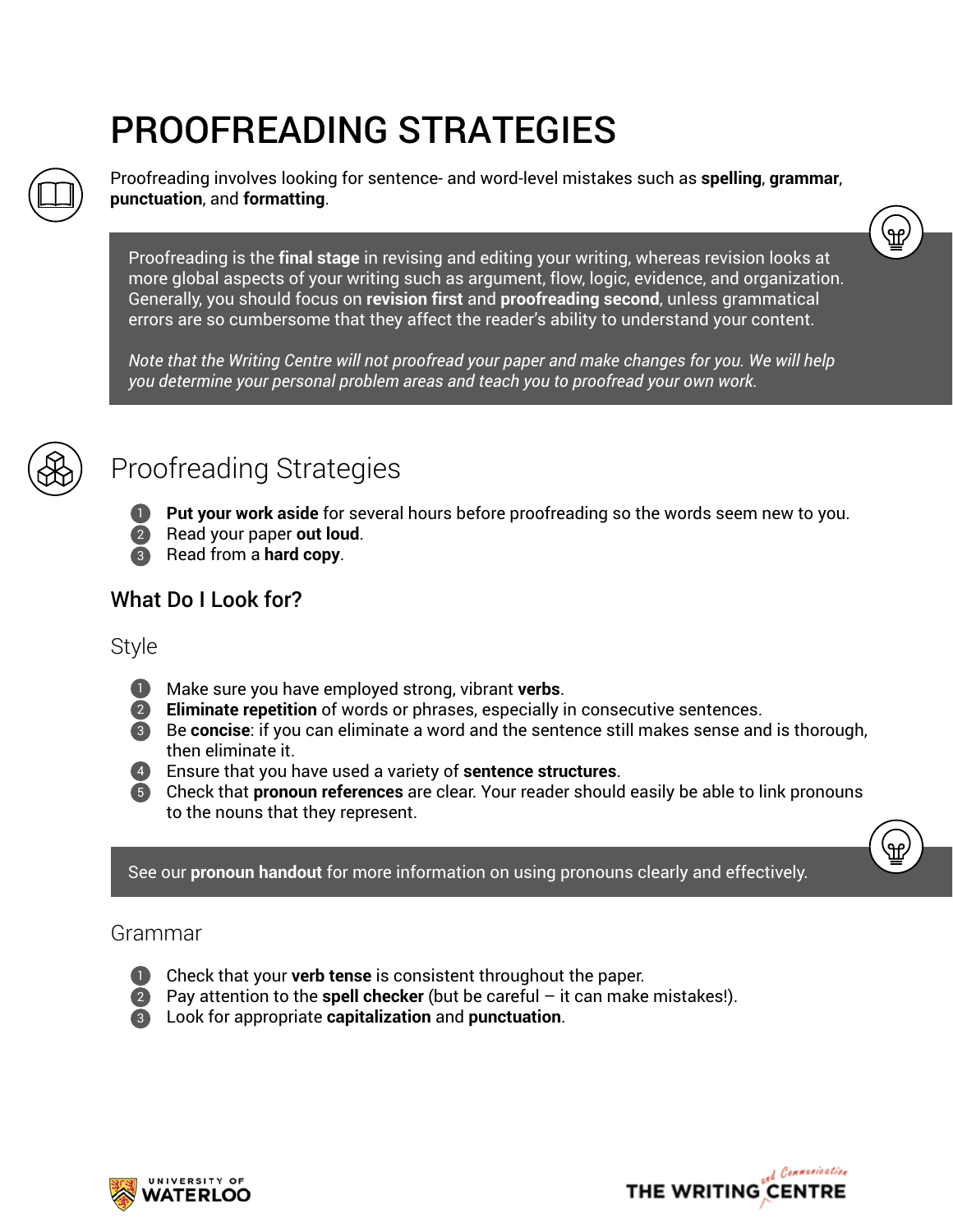# PROOFREADING STRATEGIES



Proofreading involves looking for sentence- and word-level mistakes such as **spelling**, **grammar**, **punctuation**, and **formatting**.

Proofreading is the **final stage** in revising and editing your writing, whereas revision looks at more global aspects of your writing such as argument, flow, logic, evidence, and organization. Generally, you should focus on **revision first** and **proofreading second**, unless grammatical errors are so cumbersome that they affect the reader's ability to understand your content.

*Note that the Writing Centre will not proofread your paper and make changes for you. We will help you determine your personal problem areas and teach you to proofread your own work.*



# Proofreading Strategies

**Put your work aside** for several hours before proofreading so the words seem new to you.

- **2** Read your paper out loud.
- **3** Read from a **hard copy**.

## What Do I Look for?

### Style

- **1** Make sure you have employed strong, vibrant verbs.
- **2** Eliminate repetition of words or phrases, especially in consecutive sentences.
- **8** Be concise: if you can eliminate a word and the sentence still makes sense and is thorough, then eliminate it.
- Ensure that you have used a variety of **sentence structures**. 4
- Check that **pronoun references** are clear. Your reader should easily be able to link pronouns 5 to the nouns that they represent.

See our **pronoun handout** for more information on using pronouns clearly and effectively.

#### Grammar



- **Check that your verb tense** is consistent throughout the paper.
- **2** Pay attention to the **spell checker** (but be careful it can make mistakes!).
- Look for appropriate **capitalization** and **punctuation**. 3





.<br>ඇ